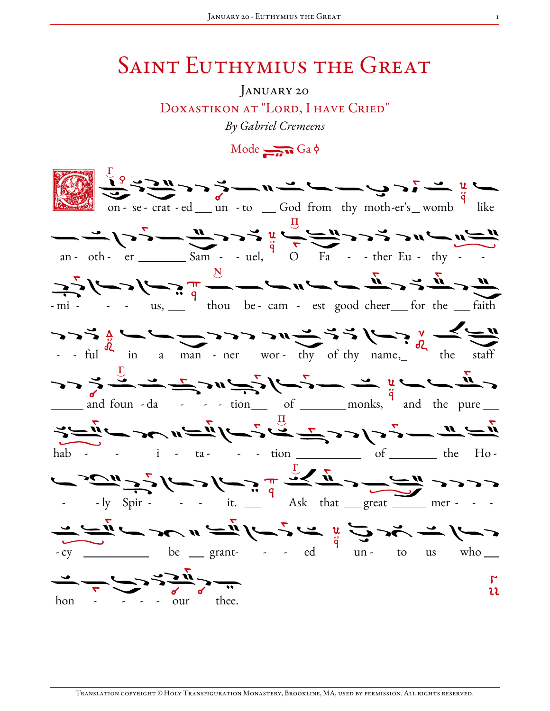## **SAINT EUTHYMIUS THE GREAT**

ANUARY 20 DOXASTIKON AT "LORD, I HAVE CRIED" By Gabriel Cremeens

 $Mode \rightarrow Ga \phi$